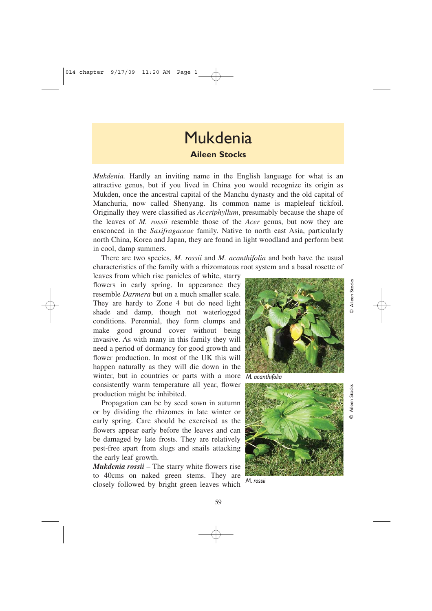## Mukdenia **Aileen Stocks**

*Mukdenia*. Hardly an inviting name in the English language for what is an attractive genus, but if you lived in China you would recognize its origin as Mukden, once the ancestral capital of the Manchu dynasty and the old capital of Manchuria, now called Shenyang. Its common name is mapleleaf tickfoil. Originally they were classified as *Aceriphyllum*, presumably because the shape of the leaves of *M. rossii* resemble those of the *Acer* genus, but now they are ensconced in the *Saxifragaceae* family. Native to north east Asia, particularly north China, Korea and Japan, they are found in light woodland and perform best in cool, damp summers.

There are two species, *M. rossii* and *M. acanthifolia* and both have the usual characteristics of the family with a rhizomatous root system and a basal rosette of

leaves from which rise panicles of white, starry flowers in early spring. In appearance they resemble *Darmera* but on a much smaller scale. They are hardy to Zone 4 but do need light shade and damp, though not waterlogged conditions. Perennial, they form clumps and make good ground cover without being invasive. As with many in this family they will need a period of dormancy for good growth and flower production. In most of the UK this will happen naturally as they will die down in the winter, but in countries or parts with a more consistently warm temperature all year, flower production might be inhibited.

Propagation can be by seed sown in autumn or by dividing the rhizomes in late winter or early spring. Care should be exercised as the flowers appear early before the leaves and can be damaged by late frosts. They are relatively pest-free apart from slugs and snails attacking the early leaf growth.

*Mukdenia rossii –* The starry white flowers rise to 40cms on naked green stems. They are closely followed by bright green leaves which



© Aileen Stocks Aileen Stocks

> © Aileen Stocks **Stocks**